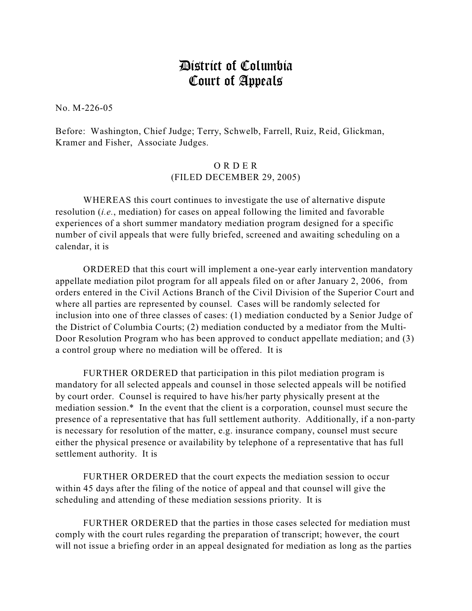## District of Columbia Court of Appeals

No. M-226-05

Before: Washington, Chief Judge; Terry, Schwelb, Farrell, Ruiz, Reid, Glickman, Kramer and Fisher, Associate Judges.

## O R D E R (FILED DECEMBER 29, 2005)

WHEREAS this court continues to investigate the use of alternative dispute resolution (*i.e.*, mediation) for cases on appeal following the limited and favorable experiences of a short summer mandatory mediation program designed for a specific number of civil appeals that were fully briefed, screened and awaiting scheduling on a calendar, it is

ORDERED that this court will implement a one-year early intervention mandatory appellate mediation pilot program for all appeals filed on or after January 2, 2006, from orders entered in the Civil Actions Branch of the Civil Division of the Superior Court and where all parties are represented by counsel. Cases will be randomly selected for inclusion into one of three classes of cases: (1) mediation conducted by a Senior Judge of the District of Columbia Courts; (2) mediation conducted by a mediator from the Multi-Door Resolution Program who has been approved to conduct appellate mediation; and (3) a control group where no mediation will be offered. It is

FURTHER ORDERED that participation in this pilot mediation program is mandatory for all selected appeals and counsel in those selected appeals will be notified by court order. Counsel is required to have his/her party physically present at the mediation session.\* In the event that the client is a corporation, counsel must secure the presence of a representative that has full settlement authority. Additionally, if a non-party is necessary for resolution of the matter, e.g. insurance company, counsel must secure either the physical presence or availability by telephone of a representative that has full settlement authority. It is

FURTHER ORDERED that the court expects the mediation session to occur within 45 days after the filing of the notice of appeal and that counsel will give the scheduling and attending of these mediation sessions priority. It is

FURTHER ORDERED that the parties in those cases selected for mediation must comply with the court rules regarding the preparation of transcript; however, the court will not issue a briefing order in an appeal designated for mediation as long as the parties